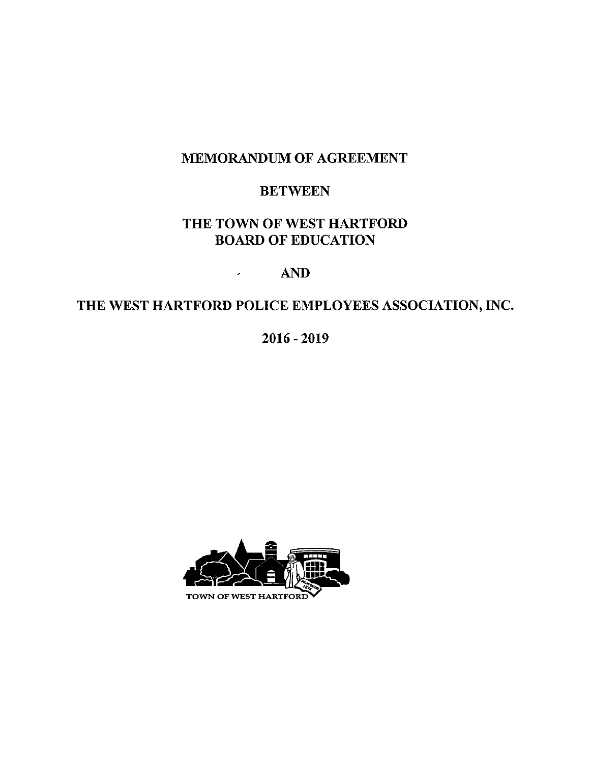# MEMORANDUM OF AGREEMENT

# **BETWEEN**

# THE TOWN OF WEST HARTFORD BOARD OF EDUCATION

# AND

 $\mathbf{z} = \mathbf{z}$ 

# THE WEST HARTFORD POLICE EMPLOYEES ASSOCIATION, INC.

2016-2019

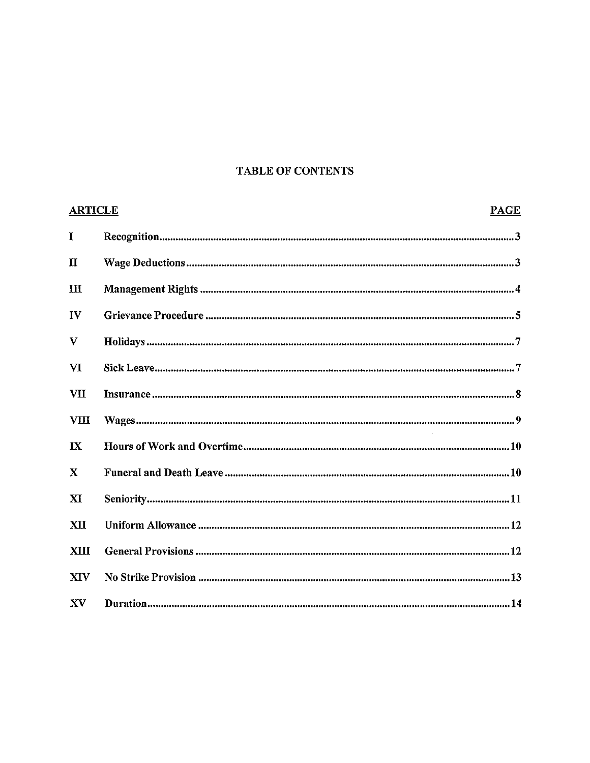### TABLE OF CONTENTS

| <b>ARTICLE</b> | <b>PAGE</b> |
|----------------|-------------|
| I              |             |
| $\mathbf{u}$   |             |
| $\mathbf{H}$   |             |
| $\mathbf{I}$   |             |
| V              |             |
| VI             |             |
| VII            |             |
| <b>VIII</b>    |             |
| $\mathbf{I}$   |             |
| $\mathbf{x}$   |             |
| XI             |             |
| <b>XII</b>     |             |
| XIII           |             |
| <b>XIV</b>     |             |
| XV             |             |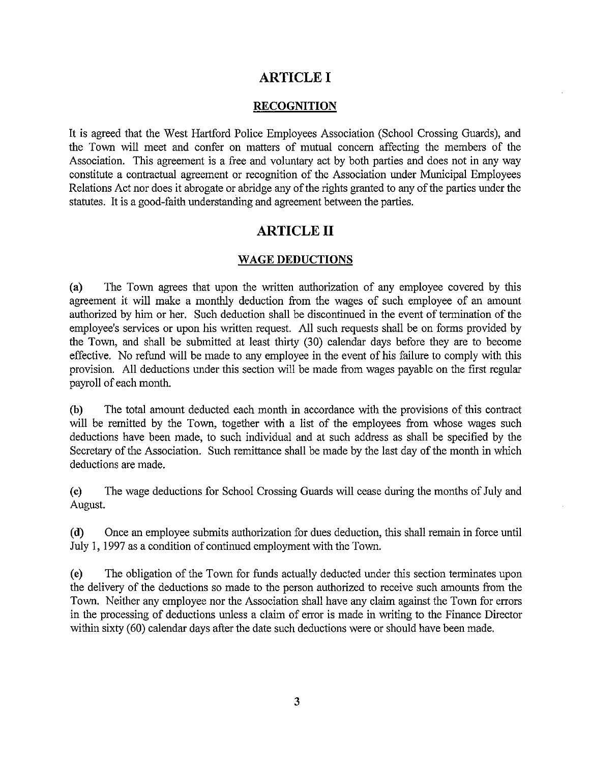### ARTICLE I

#### RECOGNITION

It is agreed that the West Hartford Police Employees Association (School Crossing Guards), and the Town will meet and confer on matters of mutual concern affecting the members of the Association. This agreement is a free and voluntary act by both parties and does not in any way constitute a contractual agreement or recognition of the Association under Municipal Employees Relations Act nor does it abrogate or abridge any of the rights granted to any of the parties under the statutes. It is a good-faith understanding and agreement between the parties.

### ARTICLE II

#### WAGE DEDUCTIONS

(a) The Town agrees that upon the written authorization of any employee covered by this agreement it will make a monthly deduction from the wages of such employee of an amount authorized by him or her. Such deduction shall be discontinued in the event of termination of the employee's services or upon his written request. All such requests shall be on forms provided by the Town, and shall be submitted at least thirty (30) calendar days before they are to become effective. No refund will be made to any employee in the event of his failure to comply with this provision. All deductions under this section will be made from wages payable on the first regular payroll of each month.

(b) The total amount deducted each month in accordance with the provisions of this contract will be remitted by the Town, together with <sup>a</sup> list of the employees from whose wages such deductions have been made, to such individual and at such address as shall be specified by the Secretary of the Association. Such remittance shall be made by the last day of the month in which deductions are made.

(c) The wage deductions for School Crossing Guards will cease during the months of July and August.

(d) Once an employee submits authorization for dues deduction, this shall remain in force until July 1, 1997 as a condition of continued employment with the Town.

(e) The obligation of the Town for funds actually deducted under this section terminates upon the delivery of the deductions so made to the person authorized to receive such amounts from the Town. Neither any employee nor the Association shall have any claim against the Town for errors in the processing of deductions unless <sup>a</sup> claim of error is made in writing to the Finance Director within sixty (60) calendar days after the date such deductions were or should have been made.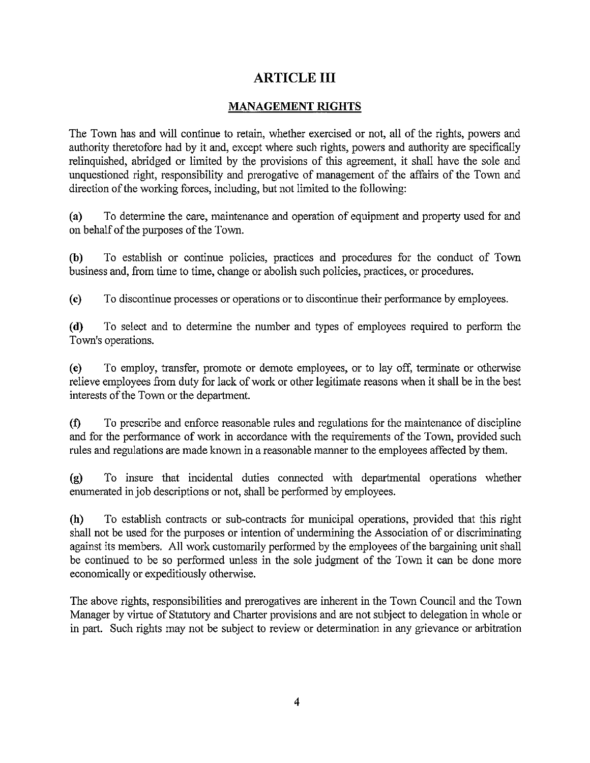# ARTICLE III

### MANAGEMENT RIGHTS

The Town has and will continue to retain, whether exercised or not, all of the rights, powers and authority theretofore had by it and, except where such rights, powers and authority are specifically relinquished, abridged or limited by the provisions of this agreement, it shall have the sole and unquestioned right, responsibility and prerogative of management of the affairs of the Town and direction of the working forces, including, but not limited to the following:

(a) To determine the care, maintenance and operation of equipment and property used for and on behalf of the purposes of the Town.

(b) To establish or continue policies, practices and procedures for the conduct of Town business and, from time to time, change or abolish such policies, practices, or procedures.

(c) To discontinue processes or operations or to discontinue their performance by employees.

(d) To select and to determine the number and types of employees required to perform the Town's operations.

(c) To employ, transfer, promote or demote employees, or to lay off, terminate or otherwise relieve employees from duty for lack of work or other legitimate reasons when it shall be in the best interests of the Town or the department.

(1) To prescribe and enforce reasonable rules and regulations for the maintenance of discipline and for the performance of work in accordance with the requirements of the Town, provided such rules and regulations are made known in a reasonable manner to the employees affected by them.

(g) To insure that incidental duties connected with departmental operations whether enumerated in job descriptions or not, shall be performed by employees.

(h) To establish contracts or sub-contracts for municipal operations, provided that this right shall not be used for the purposes or intention of undermining the Association of or discriminating against its members. All work customarily performed by the employees of the bargaining unit shall be continued to be so performed unless in the sole judgment of the Town it can be done more economically or expeditiously otherwise.

The above rights, responsibilities and prerogatives are inherent in the Town Council and the Town Manager by virtue of Statutory and Charter provisions and are not subject to delegation in whole or in part. Such rights may not be subject to review or determination in any grievance or arbitration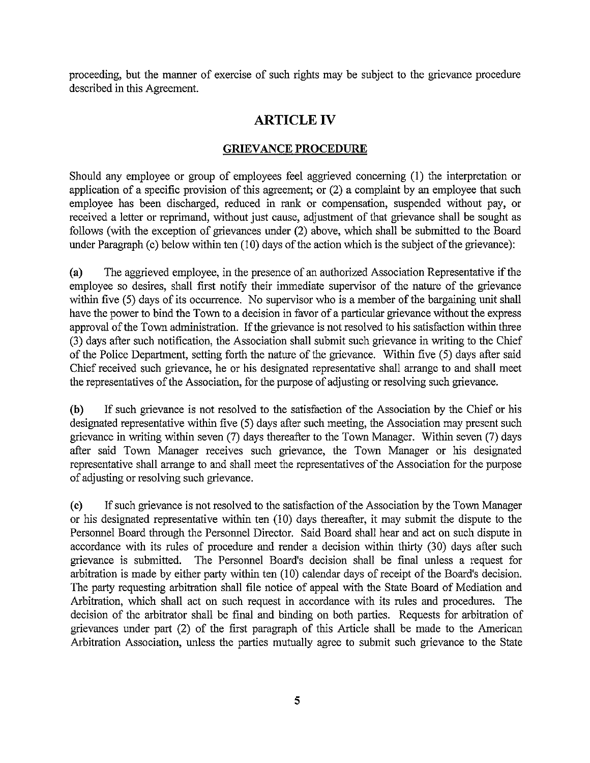proceeding, but the manner of exercise of such rights may be subject to the grievance procedure described in this Agreement.

# ARTICLE IV

### GRIEVANCE PROCEDURE

Should any employee or group of employees feel aggrieved concerning (1) the interpretation or application of <sup>a</sup> specific provision of this agreement; or (2) <sup>a</sup> complaint by an employee that such employee has been discharged, reduced in rank or compensation, suspended without pay, or received a letter or reprimand, without just cause, adjustment of that grievance shall be sought as follows (with the exception of grievances under (2) above, which shall be submitted to the Board under Paragraph (c) below within ten (10) days of the action which is the subject of the grievance):

(a) The aggrieved employee, in the presence of an authorized Association Representative if the employee so desires, shall first notify their immediate supervisor of the nature of the grievance within five (5) days of its occurrence. No supervisor who is a member of the bargaining unit shall have the power to bind the Town to <sup>a</sup> decision in favor of a particular grievance without the express approval of the Town administration. If the grievance is not resolved to his satisfaction within three (3) days after such notification, the Association shall submit such grievance in writing to the Chief of the Police Department, setting forth the nature of the grievance. Within five (5) days after said Chief received such grievance, he or his designated representative shall arrange to and shall meet the representatives of the Association, for the purpose of adjusting or resolving such grievance.

(b) If such grievance is not resolved to the satisfaction of the Association by the Chief or his designated representative within five (5) days after such meeting, the Association may present such grievance in writing within seven (7) days thereafter to the Town Manager. Within seven (7) days after said Town Manager receives such grievance, the Town Manager or his designated representative shall arrange to and shall meet the representatives of the Association for the purpose of adjusting or resolving such grievance.

(c) If such grievance is not resolved to the satisfaction of the Association by the Town Manager or his designated representative within ten (10) days thereafter, it may submit the dispute to the Personnel Board through the Personnel Director. Said Board shall hear and act on such dispute in accordance with its rules of procedure and render <sup>a</sup> decision within thirty (30) days after such grievance is submitted. The Personnel Board's decision shall be final unless a request for arbitration is made by either party within ten (10) calendar days of receipt of the Board's decision. The party requesting arbitration shall file notice of appeal with the State Board of Mediation and Arbitration, which shall act on such request in accordance with its rules and procedures. The decision of the arbitrator shall be final and binding on both parties. Requests for arbitration of grievances under part (2) of the first paragraph of this Article shall be made to the American Arbitration Association, unless the parties mutually agree to submit such grievance to the State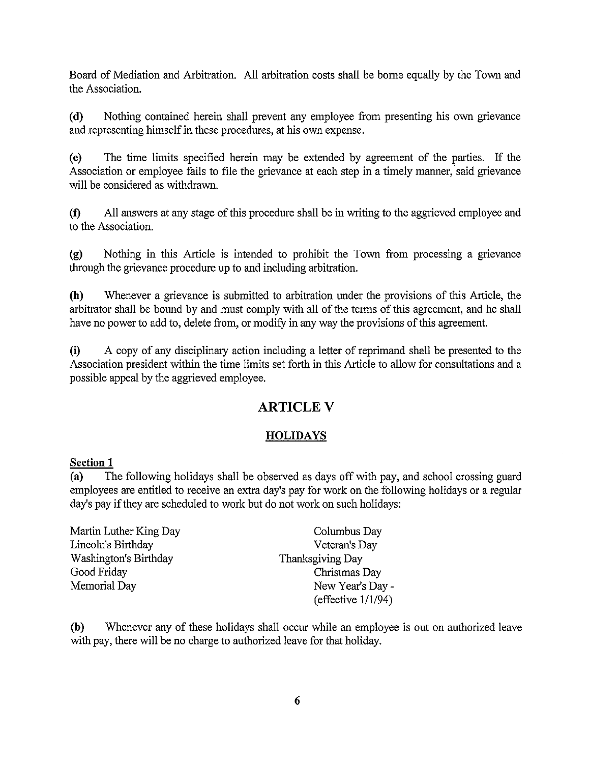Board of Mediation and Arbitration. All arbitration costs shall be borne equally by the Town and the Association.

(d) Nothing contained herein shall prevent any employee from presenting his own grievance and representing himself in these procedures, at his own expense.

(c) The time limits specified herein may be extended by agreement of the parties. If the Association or employee fails to file the grievance at each step in a timely manner, said grievance will be considered as withdrawn.

(0 All answers at any stage of this procedure shall be in writing to the aggrieved employee and to the Association.

(g) Nothing in this Article is intended to prohibit the Town from processing a grievance through the grievance procedure up to and including arbitration.

(h) Whenever <sup>a</sup> grievance is submitted to arbitration under the provisions of this Article, the arbitrator shall be bound by and must comply with all of the terms of this agreement, and he shall have no power to add to, delete from, or modify in any way the provisions of this agreement.

(i) A copy of any disciplinary action including <sup>a</sup> letter of reprimand shall be presented to the Association president within the time limits set forth in this Article to allow for consultations and <sup>a</sup> possible appeal by the aggrieved employee.

# ARTICLE V

### **HOLIDAYS**

#### Section <sup>1</sup>

(a) The following holidays shall be observed as days off with pay, and school crossing guard employees are entitled to receive an extra day's pay for work on the following holidays or a regular day's pay if they are scheduled to work but do not work on such holidays:

| Martin Luther King Day | Columbus Day          |  |
|------------------------|-----------------------|--|
| Lincoln's Birthday     | Veteran's Day         |  |
| Washington's Birthday  | Thanksgiving Day      |  |
| Good Friday            | Christmas Day         |  |
| Memorial Day           | New Year's Day -      |  |
|                        | (effective $1/1/94$ ) |  |

(b) Whenever any of these holidays shall occur while an employee is out on authorized leave with pay, there will be no charge to authorized leave for that holiday.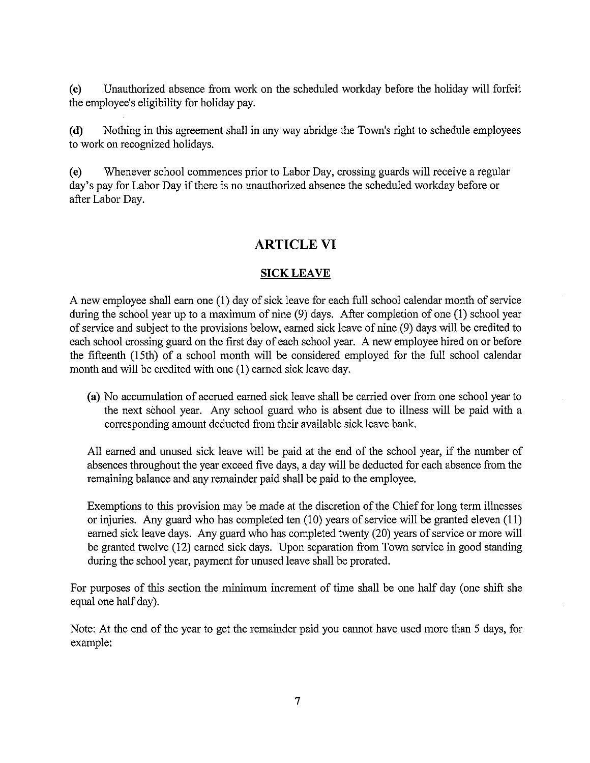(c) Unauthorized absence from work on the scheduled workday before the holiday will forfeit the employee's eligibility for holiday pay.

(d) Nothing in this agreement shall in any way abridge the Town's right to schedule employees to work on recognized holidays.

(e) Whenever school conunences prior to Labor Day, crossing guards will receive <sup>a</sup> regular day's pay for Labor Day if there is no unauthorized absence the scheduled workday before or after Labor Day.

### ARTICLE VI

#### SICK LEAVE

A new employee shall earn one (1) day of sick leave for each full school calendar month of service during the school year up to <sup>a</sup> maximum of nine (9) days. After completion of one (1) school year of service and subject to the provisions below, earned sick leave of nine (9) days will be credited to each school crossing guard on the first day of each school year. A new employee hired on or before the fifteenth (15th) of a school month will be considered employed for the full school calendar month and will be credited with one (1) earned sick leave day.

(a) No accumulation of accrued earned sick leave shall be carried over from one school year to the next sèhool year. My school guard who is absent due to illness will be paid with <sup>a</sup> corresponding amount deducted from their available sick leave bank.

All earned and unused sick leave will be paid at the end of the school year, if the number of absences throughout the year exceed five days, a day will be deducted for each absence from the remaining balance and any remainder paid shall be paid to the employee.

Exemptions to this provision may be made at the discretion of the Chief for long term illnesses or injuries. Any guard who has completed ten (10) years of service will be granted eleven (11) earned sick leave days. Any guard who has completed twenty (20) years of service or more will be granted twelve (12) earned sick days. Upon separation from Town service in good standing during the school year, payment for unused leave shall be prorated.

For purposes of this section the minimum increment of time shall be one half day (one shift she equal one half day).

Note: At the end of the year to get the remainder paid you cannot have used more than <sup>5</sup> days, for example: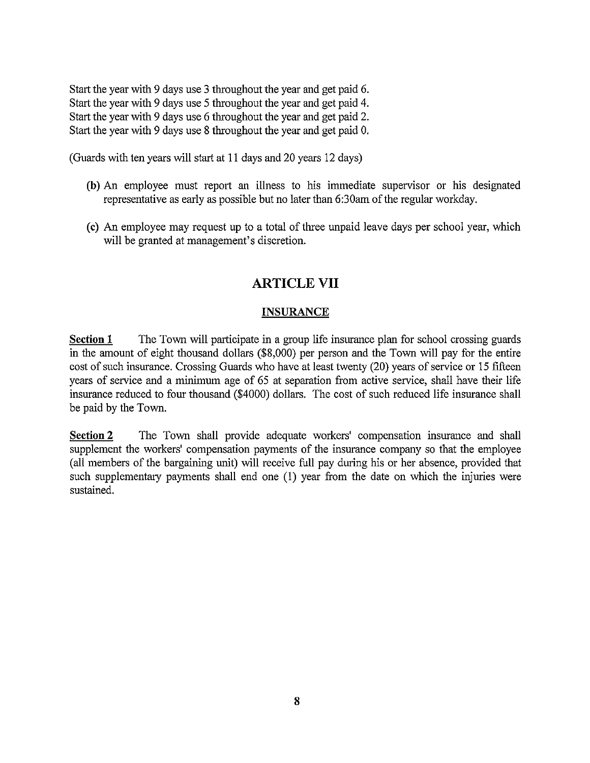Start the year with 9 days use <sup>3</sup> throughout the year and get paid 6. Start the year with 9 days use <sup>5</sup> throughout the year and get paid 4. Start the year with 9 days use 6 throughout the year and get paid 2. Start the year with 9 days use 8 throughout the year and get paid 0.

(Guards with ten years will start at 11 days and 20 years 12 days)

- (b) An employee must report an illness to his immediate supervisor or his designated representative as early as possible but no later than 6:30am of the regular workday.
- (c) An employee may request up to a total of three unpaid leave days per school year, which will be granted at management's discretion.

# ARTICLE VII

#### **INSURANCE**

Section 1 The Town will participate in a group life insurance plan for school crossing guards in the amount of eight thousand dollars (\$8,000) per person and the Town will pay for the entire cost of such insurance. Crossing Guards who have at least twenty (20) years of service or <sup>15</sup> fifteen years of service and <sup>a</sup> minimum age of 65 at separation from active service, shall have their life insurance reduced to four thousand (\$4000) dollars. The cost of such reduced life insurance shall be paid by the Town.

Section 2 The Town shall provide adequate workers' compensation insurance and shall supplement the workers' compensation payments of the insurance company so that the employee (all members of the bargaining unit) will receive full pay during his or her absence, provided that such supplementary payments shall end one (1) year from the date on which the injuries were sustained.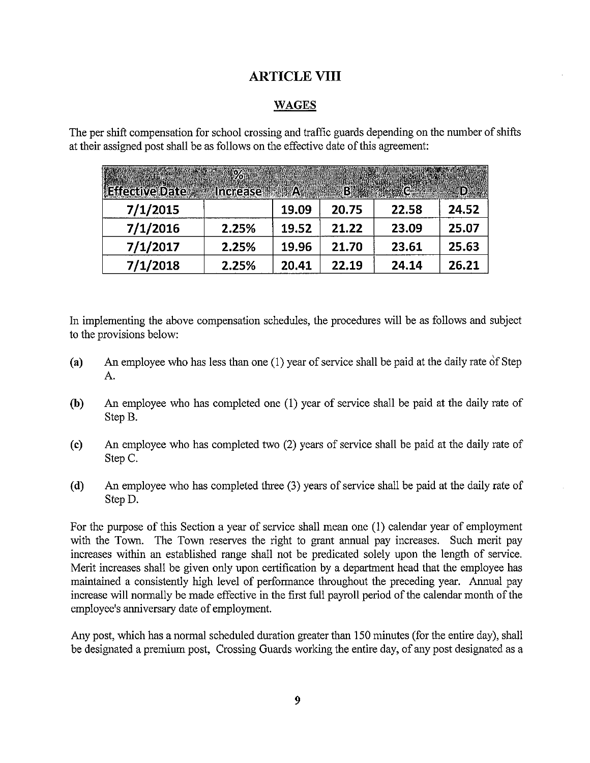# ARTICLE VIII

#### WAGES

| <b>ARTICLE VIII</b>                                                                                                                                                     |       |       |       |       |       |  |  |  |
|-------------------------------------------------------------------------------------------------------------------------------------------------------------------------|-------|-------|-------|-------|-------|--|--|--|
| <b>WAGES</b>                                                                                                                                                            |       |       |       |       |       |  |  |  |
| er shift compensation for school crossing and traffic guards depending on the number o<br>ir assigned post shall be as follows on the effective date of this agreement: |       |       |       |       |       |  |  |  |
| <b>Execute Date</b> $\epsilon$ Increase A $\epsilon$ B and $\epsilon$ <b>D</b>                                                                                          | %     |       |       |       |       |  |  |  |
| 7/1/2015                                                                                                                                                                |       | 19.09 | 20.75 | 22.58 | 24.52 |  |  |  |
| 7/1/2016                                                                                                                                                                | 2.25% | 19.52 | 21.22 | 23.09 | 25.07 |  |  |  |
| 7/1/2017                                                                                                                                                                | 2.25% | 19.96 | 21.70 | 23.61 | 25.63 |  |  |  |
| 7/1/2018                                                                                                                                                                | 2.25% | 20.41 | 22.19 | 24.14 | 26.21 |  |  |  |
|                                                                                                                                                                         |       |       |       |       |       |  |  |  |

The per shift compensation for school crossing and traffic guards depending on the number of shifts at their assigned post shall be as follows on the effective date of this agreement:

In implementing the above compensation schedules, the procedures will be as follows and subject to the provisions below:

- (a) An employee who has less than one (1) year of service shall be paid at the daily rate of Step A.
- (b) An employee who has completed one (1) year of service shall be paid at the daily rate of Step B.
- (c) An employee who has completed two (2) years of service shall be paid at the daily rate of Step C.
- (d) An employee who has completed three (3) years of service shall be paid at the daily rate of StepD.

For the purpose of this Section a year of service shall mean one (1) calendar year of employment with the Town. The Town reserves the right to grant annual pay increases. Such merit pay increases within an established range shall not be predicated solely upon the length of service. Merit increases shall be given only upon certification by a department head that the employee has maintained <sup>a</sup> consistently high level of performance throughout the preceding year. Annual pay increase will normally be made effective in the first full payroll period of the calendar month of the employee's anniversary date of employment.

Any post, which has a normal scheduled duration greater than 150 minutes (for the entire day), shall be designated <sup>a</sup> premium post, Crossing Guards working the entire day, of any post designated as a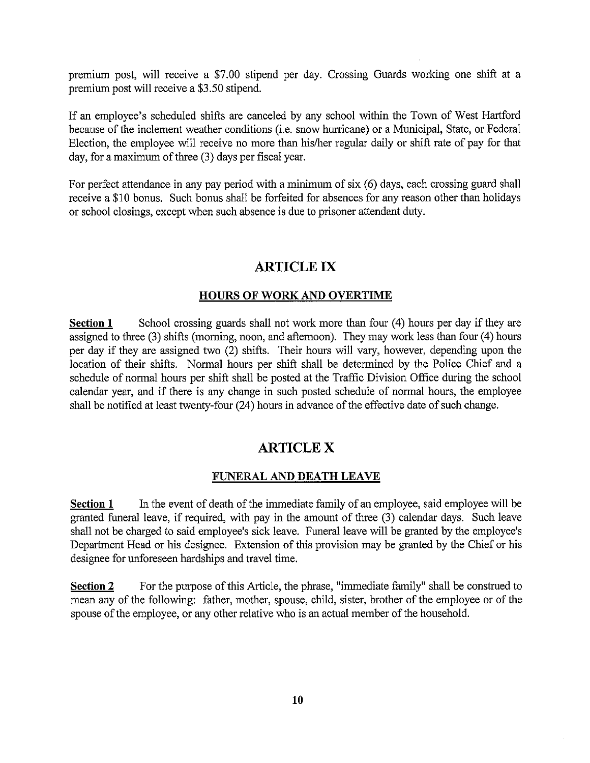premium post, will receive a \$7.00 stipend per day. Crossing Guards working one shift at a premium post will receive <sup>a</sup> \$3.50 stipend.

If an employee's scheduled shifts are canceled by any school within the Town of West Hartford because of the inclement weather conditions (i.e. snow hurricane) or <sup>a</sup> Municipal, State, or Federal Election, the employee will receive no more than his/her regular daily or shift rate of pay for that day, for <sup>a</sup> maximum of three (3) days per fiscal year.

For perfect attendance in any pay period with <sup>a</sup> minimum of six (6) days, each crossing guard shall receive a \$10 bonus. Such bonus shall be forfeited for absences for any reason other than holidays or school closings, except when such absence is due to prisoner attendant duty.

# ARTICLE IX

#### HOURS OF WORK AND OVERTIME

Section 1 School crossing guards shall not work more than four (4) hours per day if they are assigned to three (3) shifts (morning, noon, and afternoon). They may work less than four (4) hours per day if they are assigned two (2) shifts. Their hours will vary, however, depending upon the location of their shifts. Normal hours per shift shall be determined by the Police Chief and a schedule of normal hours per shift shall be posted at the Traffic Division Office during the school calendar year, and if there is any change in such posted schedule of normal hours, the employee shall be notified at least twenty-four (24) hours in advance of the effective date of such change.

# ARTICLE X

#### FUNERAL AND DEATH LEAVE

Section  $1$  In the event of death of the immediate family of an employee, said employee will be granted funeral leave, if required, with pay in the amount of three (3) calendar days. Such leave shall not be charged to said employee's sick leave. Funeral leave will be granted by the employee's Department Head or his designee. Extension of this provision may be granted by the Chief or his designee for unforeseen hardships and travel time.

Section 2 For the purpose of this Article, the phrase, "immediate family" shall be construed to mean any of the following: father, mother, spouse, child, sister, brother of the employee or of the spouse of the employee, or any other relative who is an actual member of the household.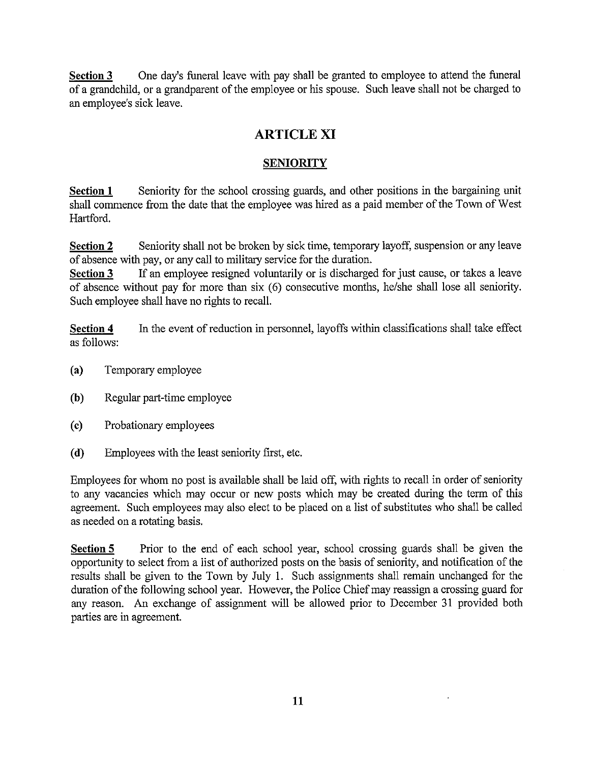Section 3 One day's funeral leave with pay shall be granted to employee to attend the funeral of <sup>a</sup> grandchild, or <sup>a</sup> grandparent of the employee or his spouse. Such leave shall not be charged to an employee's sick leave.

# ARTICLE XI

### **SENIORITY**

Section 1 Seniority for the school crossing guards, and other positions in the bargaining unit shall commence from the date that the employee was hired as a paid member of the Town of West Hartford.

Section 2 Seniority shall not be broken by sick time, temporary layoff, suspension or any leave of absence with pay, or any call to military service for the duration.

Section 3 If an employee resigned voluntarily or is discharged for just cause, or takes a leave of absence without pay for more than six (6) consecutive months, he/she shall lose all seniority. Such employee shall have no rights to recall.

Section 4 In the event of reduction in personnel, layoffs within classifications shall take effect as follows:

- (a) Temporary employee
- (b) Regular part-time employee
- (c) Probationary employees
- (d) Employees with the least seniority first, etc.

Employees for whom no post is available shall be laid off, with rights to recall in order of seniority to any vacancies which may occur or new posts which may be created during the term of this agreement. Such employees may also elect to be placed on <sup>a</sup> list of substitutes who shall be called as needed on a rotating basis.

Section 5 Prior to the end of each school year, school crossing guards shall be given the opportunity to select from a list of authorized posts on the basis of seniority, and notification of the results shall be given to the Town by July 1. Such assignments shall remain unchanged for the duration of the following school year. However, the Police Chief may reassign a crossing guard for any reason. An exchange of assignment will be allowed prior to December <sup>31</sup> provided both parties are in agreement.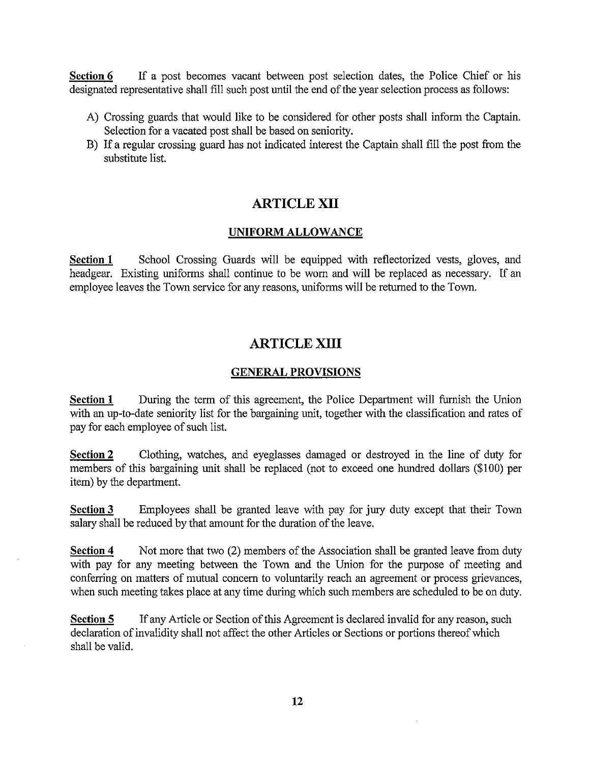Section 6 If a post becomes vacant between post selection dates, the Police Chief or his designated representative shall fill such post until the end of the year selection process as follows:

- A) Crossing guards that would like to be considered for other posts shall inform the Captain. Selection for a vacated post shall be based on seniority.
- B) If <sup>a</sup> regular crossing guard has not indicated interest the Captain shall fill the post from the substitute list.

# ARTICLE XII

#### UNIFORM ALLOWANCE

Section 1 School Crossing Guards will be equipped with reflectorized vests, gloves, and headgear. Existing uniforms shall continue to be worn and will be replaced as necessary. If an employee leaves the Town service for any reasons, uniforms will be returned to the Town.

# ARTICLE XIII

#### GENERAL PROVISIONS

Section 1 During the term of this agreement, the Police Department will furnish the Union with an up-to-date seniority list for the bargaining unit, together with the classification and rates of pay for each employee of such list.

Section 2 Clothing, watches, and eyeglasses damaged or destroyed in the line of duty for members of this bargaining unit shall be replaced (not to exceed one hundred dollars (\$100) per item) by the department.

Section 3 Employees shall be granted leave with pay for jury duty except that their Town salary shall be reduced by that amount for the duration of the leave.

Section 4 Not more that two (2) members of the Association shall be granted leave from duty with pay for any meeting between the Town and the Union for the purpose of meeting and conferring on matters of mutual concern to voluntarily reach an agreement or process grievances, when such meeting takes place at any time during which such members are scheduled to be on duty.

Section 5 If any Article or Section of this Agreement is declared invalid for any reason, such declaration of invalidity shall not affect the other Articles or Sections or portions thereof which shall be valid.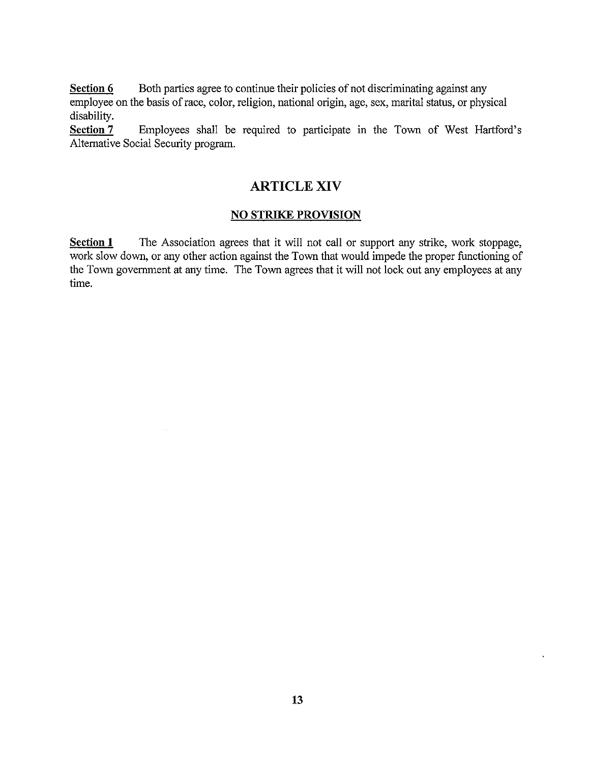Section 6 Both parties agree to continue their policies of not discriminating against any employee on the basis of race, color, religion, national origin, age, sex, marital status, or physical disability.

Section 7 Employees shall be required to participate in the Town of West Hartford's Alternative Social Security program.

# ARTICLE XIV

#### NO STRIKE PROVISION

Section 1 The Association agrees that it will not call or support any strike, work stoppage, work slow down, or any other action against the Town that would impede the proper functioning of the Town government at any time. The Town agrees that it will not lock out any employees at any time.